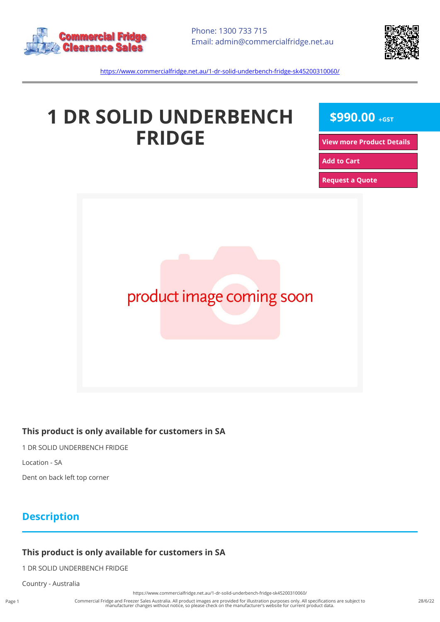



<https://www.commercialfridge.net.au/1-dr-solid-underbench-fridge-sk45200310060/>

# **1 DR SOLID UNDERBENCH FRIDGE**

**\$990.00 +GST**

**[View more Product Details](https://www.commercialfridge.net.au/1-dr-solid-underbench-fridge-sk45200310060/)**

**[Add to Cart](https://www.commercialfridge.net.au/1-dr-solid-underbench-fridge-sk45200310060/?addtocart=1)** 

**[Request a Quote](https://www.commercialfridge.net.au/1-dr-solid-underbench-fridge-sk45200310060/?requestaquote=1)** 



#### **This product is only available for customers in SA**

1 DR SOLID UNDERBENCH FRIDGE

Location - SA

Dent on back left top corner

### **Description**

#### **This product is only available for customers in SA**

1 DR SOLID UNDERBENCH FRIDGE

Country - Australia